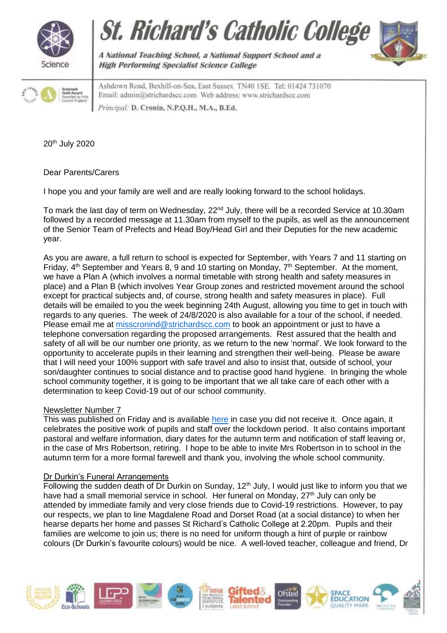







A National Teaching School, a National Support School and a **High Performing Specialist Science College** 

Ashdown Road, Bexhill-on-Sea, East Sussex TN40 1SE. Tel: 01424 731070 Email: admin@strichardscc.com Web address: www.strichardscc.com Principal: D. Cronin, N.P.Q.H., M.A., B.Ed.

20th July 2020

Dear Parents/Carers

I hope you and your family are well and are really looking forward to the school holidays.

To mark the last day of term on Wednesday, 22<sup>nd</sup> July, there will be a recorded Service at 10.30am followed by a recorded message at 11.30am from myself to the pupils, as well as the announcement of the Senior Team of Prefects and Head Boy/Head Girl and their Deputies for the new academic year.

As you are aware, a full return to school is expected for September, with Years 7 and 11 starting on Friday,  $4<sup>th</sup>$  September and Years 8, 9 and 10 starting on Monday,  $7<sup>th</sup>$  September. At the moment, we have a Plan A (which involves a normal timetable with strong health and safety measures in place) and a Plan B (which involves Year Group zones and restricted movement around the school except for practical subjects and, of course, strong health and safety measures in place). Full details will be emailed to you the week beginning 24th August, allowing you time to get in touch with regards to any queries. The week of 24/8/2020 is also available for a tour of the school, if needed. Please email me at [misscronind@strichardscc.com](mailto:misscronind@strichardscc.com) to book an appointment or just to have a telephone conversation regarding the proposed arrangements. Rest assured that the health and safety of all will be our number one priority, as we return to the new 'normal'. We look forward to the opportunity to accelerate pupils in their learning and strengthen their well-being. Please be aware that I will need your 100% support with safe travel and also to insist that, outside of school, your son/daughter continues to social distance and to practise good hand hygiene. In bringing the whole school community together, it is going to be important that we all take care of each other with a determination to keep Covid-19 out of our school community.

# Newsletter Number 7

This was published on Friday and is available [here](https://drive.google.com/file/d/1eHqIYIlRHYZ_yLsvqm_-HT5qWsC1upkb/view) in case you did not receive it. Once again, it celebrates the positive work of pupils and staff over the lockdown period. It also contains important pastoral and welfare information, diary dates for the autumn term and notification of staff leaving or, in the case of Mrs Robertson, retiring. I hope to be able to invite Mrs Robertson in to school in the autumn term for a more formal farewell and thank you, involving the whole school community.

# Dr Durkin's Funeral Arrangements

Following the sudden death of Dr Durkin on Sunday, 12<sup>th</sup> July, I would just like to inform you that we have had a small memorial service in school. Her funeral on Monday,  $27<sup>th</sup>$  July can only be attended by immediate family and very close friends due to Covid-19 restrictions. However, to pay our respects, we plan to line Magdalene Road and Dorset Road (at a social distance) to when her hearse departs her home and passes St Richard's Catholic College at 2.20pm. Pupils and their families are welcome to join us; there is no need for uniform though a hint of purple or rainbow colours (Dr Durkin's favourite colours) would be nice. A well-loved teacher, colleague and friend, Dr

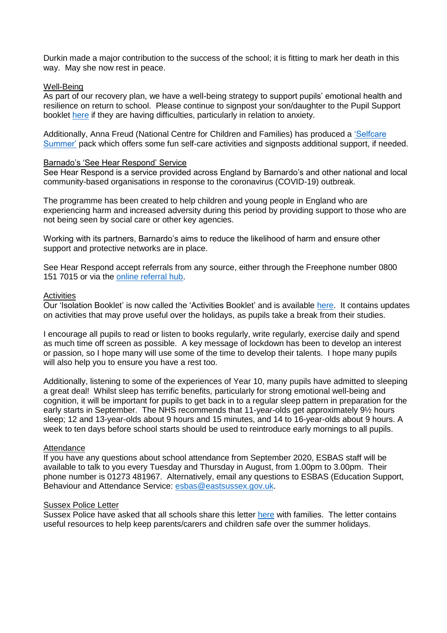Durkin made a major contribution to the success of the school; it is fitting to mark her death in this way. May she now rest in peace.

### Well-Being

As part of our recovery plan, we have a well-being strategy to support pupils' emotional health and resilience on return to school. Please continue to signpost your son/daughter to the Pupil Support booklet [here](https://drive.google.com/file/d/1TqbeKe2MRDRbAZehv9sMXg_J8FR4J0WH/view) if they are having difficulties, particularly in relation to anxiety.

Additionally, Anna Freud (National Centre for Children and Families) has produced a 'Selfcare [Summer'](https://drive.google.com/file/d/1UvegAI50VR-NN33Dv2IpeGUVvdhjOHLU/view?usp=sharing) pack which offers some fun self-care activities and signposts additional support, if needed.

### Barnado's 'See Hear Respond' Service

See Hear Respond is a service provided across England by Barnardo's and other national and local community-based organisations in response to the coronavirus (COVID-19) outbreak.

The programme has been created to help children and young people in England who are experiencing harm and increased adversity during this period by providing support to those who are not being seen by social care or other key agencies.

Working with its partners, Barnardo's aims to reduce the likelihood of harm and ensure other support and protective networks are in place.

See Hear Respond accept referrals from any source, either through the Freephone number 0800 151 7015 or via the [online referral hub.](https://www.barnardos.org.uk/see-hear-respond?utm_source=8%20July%202020%20C19&utm_medium=Daily%20Email%20C19&utm_campaign=DfE%20C19)

### **Activities**

Our 'Isolation Booklet' is now called the 'Activities Booklet' and is available [here.](https://drive.google.com/file/d/11OUx73mIIQRAg-J4OZ2EDosQ77yiDyJ9/view?usp=sharing) It contains updates on activities that may prove useful over the holidays, as pupils take a break from their studies.

I encourage all pupils to read or listen to books regularly, write regularly, exercise daily and spend as much time off screen as possible. A key message of lockdown has been to develop an interest or passion, so I hope many will use some of the time to develop their talents. I hope many pupils will also help you to ensure you have a rest too.

Additionally, listening to some of the experiences of Year 10, many pupils have admitted to sleeping a great deal! Whilst sleep has terrific benefits, particularly for strong emotional well-being and cognition, it will be important for pupils to get back in to a regular sleep pattern in preparation for the early starts in September. The NHS recommends that 11-year-olds get approximately 9½ hours sleep; 12 and 13-year-olds about 9 hours and 15 minutes, and 14 to 16-year-olds about 9 hours. A week to ten days before school starts should be used to reintroduce early mornings to all pupils.

# **Attendance**

If you have any questions about school attendance from September 2020, ESBAS staff will be available to talk to you every Tuesday and Thursday in August, from 1.00pm to 3.00pm. Their phone number is 01273 481967. Alternatively, email any questions to ESBAS (Education Support, Behaviour and Attendance Service: [esbas@eastsussex.gov.uk.](mailto:esbas@eastsussex.gov.uk)

### Sussex Police Letter

Sussex Police have asked that all schools share this letter [here](https://drive.google.com/file/d/1ZPUQ30VBluF2fog-kWZgAs2uUveSBioI/view?usp=sharing) with families. The letter contains useful resources to help keep parents/carers and children safe over the summer holidays.